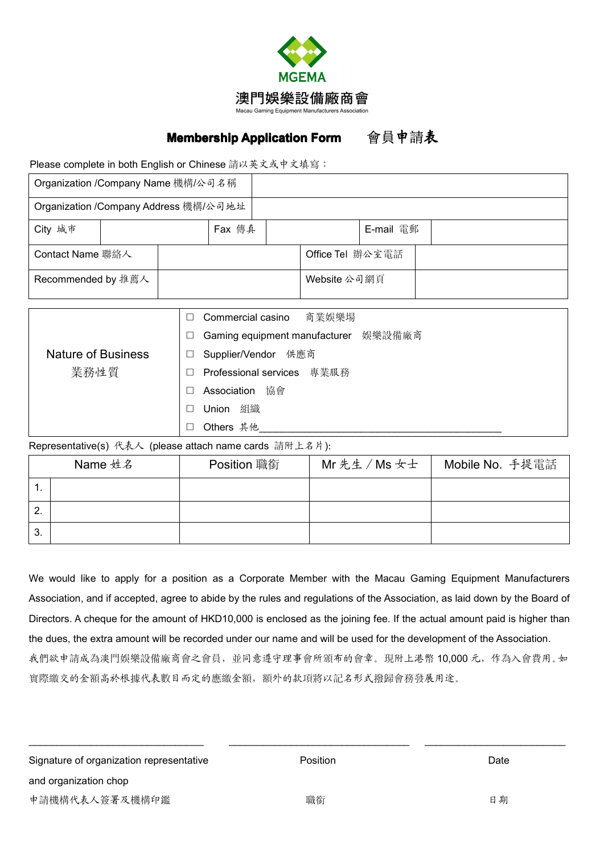

## **Membership Application Form** 會員申請**表**

Please complete in both English or Chinese 請以英文或中文填寫:

|                    |  | Organization /Company Address 機構/公司地址 |              |                  |  |
|--------------------|--|---------------------------------------|--------------|------------------|--|
| City 城市            |  | Fax 傳真                                |              | E-mail 電郵        |  |
| Contact Name 聯絡人   |  |                                       |              | Office Tel 辦公室電話 |  |
| Recommended by 推薦人 |  |                                       | Website 公司網頁 |                  |  |

|                           | Commercial casino 商業娛樂場                        |
|---------------------------|------------------------------------------------|
|                           | Gaming equipment manufacturer 娛樂設備廠商<br>$\Box$ |
| <b>Nature of Business</b> | Supplier/Vendor 供應商<br>$\Box$                  |
| 業務性質                      | Professional services 專業服務<br>$\Box$           |
|                           | 協會<br>Association                              |
|                           | 組織<br>Union<br>$\Box$                          |
|                           | Others 其他                                      |

## Representative(s) 代表人 (please attach name cards 請附上名片):

|               | Name 姓名 | Position 職銜 | Mr先生 / Ms 女士 | Mobile No. 手提電話 |  |
|---------------|---------|-------------|--------------|-----------------|--|
|               |         |             |              |                 |  |
| ົ<br><u>.</u> |         |             |              |                 |  |
| 3.            |         |             |              |                 |  |

We would like to apply for <sup>a</sup> position as <sup>a</sup> Corporate Member with the Macau Gaming Equipment Manufacturers Association, and if accepted, agree to abide by the rules and regulations of the Association, as laid down by the Board of Directors. A cheque for the amount of HKD10,000 is enclosed as the joining fee. If the actual amount paid is higher than the dues, the extra amount will be recorded under our name and will be used for the development of the Association. 我們欲申請成為澳門娛樂設備廠商會之會員,並同意遵守理事會所頒布的會章。現附上港幣 10,000 元,作為入會費用。如 實際繳交的金額高於根據代表數目而定的應繳金額,額外的款項將以記名形式撥歸會務發展用途。

\_\_\_\_\_\_\_\_\_\_\_\_\_\_\_\_\_\_\_\_\_\_\_\_\_\_\_\_\_\_\_ \_\_\_\_\_\_\_\_\_\_\_\_\_\_\_\_\_\_\_\_\_\_\_\_\_\_\_\_\_\_\_\_ \_\_\_\_\_\_\_\_\_\_\_\_\_\_\_\_\_\_\_\_\_\_\_\_\_